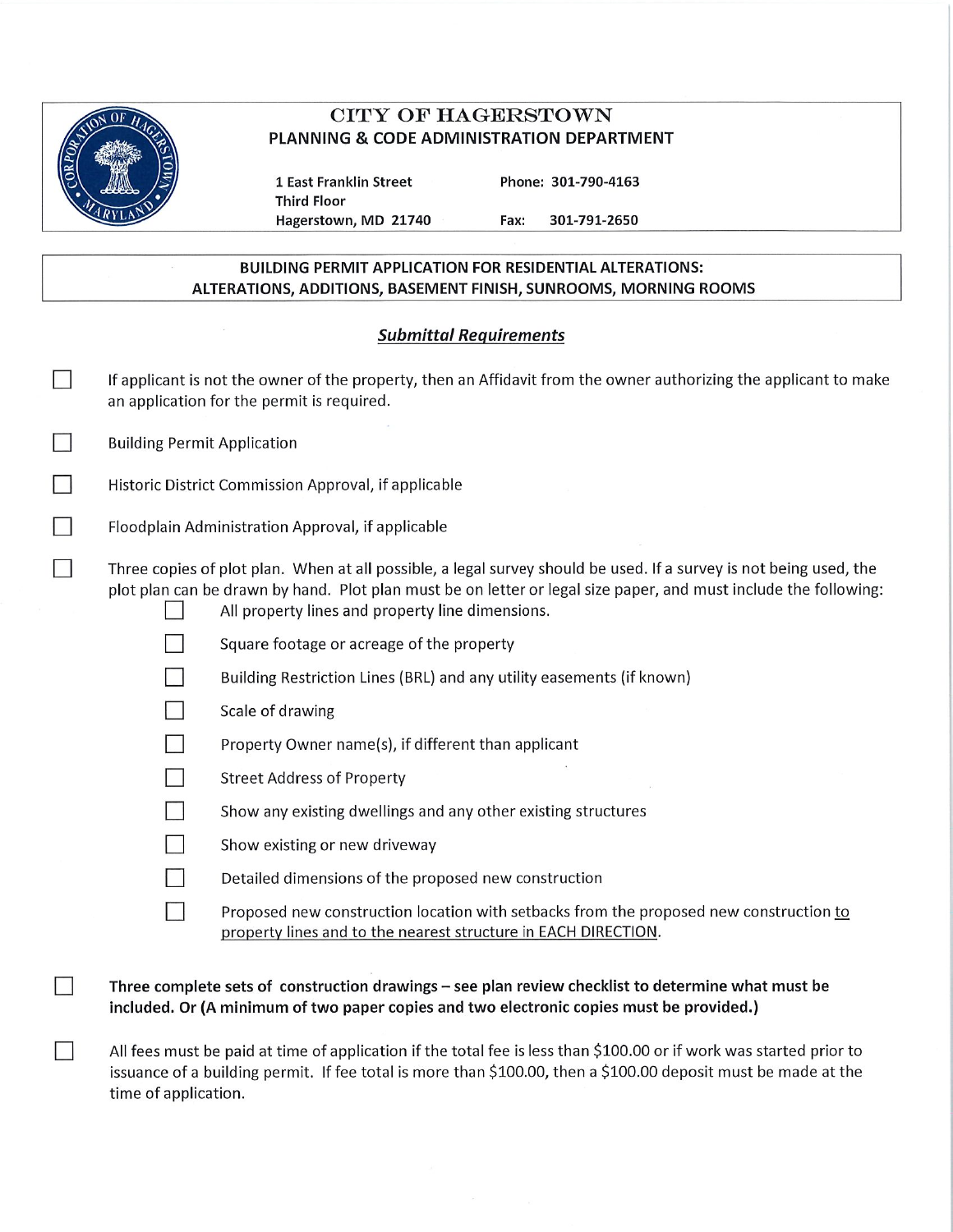

 $\Box$ 

ñ.

# **CITY OF HAGERSTOWN** PLANNING & CODE ADMINISTRATION DEPARTMENT

1 East Franklin Street **Third Floor** Hagerstown, MD 21740 Phone: 301-790-4163

301-791-2650 Fax:

### **BUILDING PERMIT APPLICATION FOR RESIDENTIAL ALTERATIONS:** ALTERATIONS, ADDITIONS, BASEMENT FINISH, SUNROOMS, MORNING ROOMS

## **Submittal Requirements**

|  | If applicant is not the owner of the property, then an Affidavit from the owner authorizing the applicant to make<br>an application for the permit is required.                                                                                                                            |                                                                                                                                                                                                |  |
|--|--------------------------------------------------------------------------------------------------------------------------------------------------------------------------------------------------------------------------------------------------------------------------------------------|------------------------------------------------------------------------------------------------------------------------------------------------------------------------------------------------|--|
|  | <b>Building Permit Application</b>                                                                                                                                                                                                                                                         |                                                                                                                                                                                                |  |
|  | Historic District Commission Approval, if applicable                                                                                                                                                                                                                                       |                                                                                                                                                                                                |  |
|  | Floodplain Administration Approval, if applicable                                                                                                                                                                                                                                          |                                                                                                                                                                                                |  |
|  | Three copies of plot plan. When at all possible, a legal survey should be used. If a survey is not being used, the<br>plot plan can be drawn by hand. Plot plan must be on letter or legal size paper, and must include the following:<br>All property lines and property line dimensions. |                                                                                                                                                                                                |  |
|  |                                                                                                                                                                                                                                                                                            | Square footage or acreage of the property                                                                                                                                                      |  |
|  |                                                                                                                                                                                                                                                                                            | Building Restriction Lines (BRL) and any utility easements (if known)                                                                                                                          |  |
|  |                                                                                                                                                                                                                                                                                            | Scale of drawing                                                                                                                                                                               |  |
|  |                                                                                                                                                                                                                                                                                            | Property Owner name(s), if different than applicant                                                                                                                                            |  |
|  |                                                                                                                                                                                                                                                                                            | <b>Street Address of Property</b>                                                                                                                                                              |  |
|  |                                                                                                                                                                                                                                                                                            | Show any existing dwellings and any other existing structures                                                                                                                                  |  |
|  |                                                                                                                                                                                                                                                                                            | Show existing or new driveway                                                                                                                                                                  |  |
|  |                                                                                                                                                                                                                                                                                            | Detailed dimensions of the proposed new construction                                                                                                                                           |  |
|  |                                                                                                                                                                                                                                                                                            | Proposed new construction location with setbacks from the proposed new construction to<br>property lines and to the nearest structure in EACH DIRECTION.                                       |  |
|  |                                                                                                                                                                                                                                                                                            | Three complete sets of construction drawings - see plan review checklist to determine what must be<br>included. Or (A minimum of two paper copies and two electronic copies must be provided.) |  |

All fees must be paid at time of application if the total fee is less than \$100.00 or if work was started prior to issuance of a building permit. If fee total is more than \$100.00, then a \$100.00 deposit must be made at the time of application.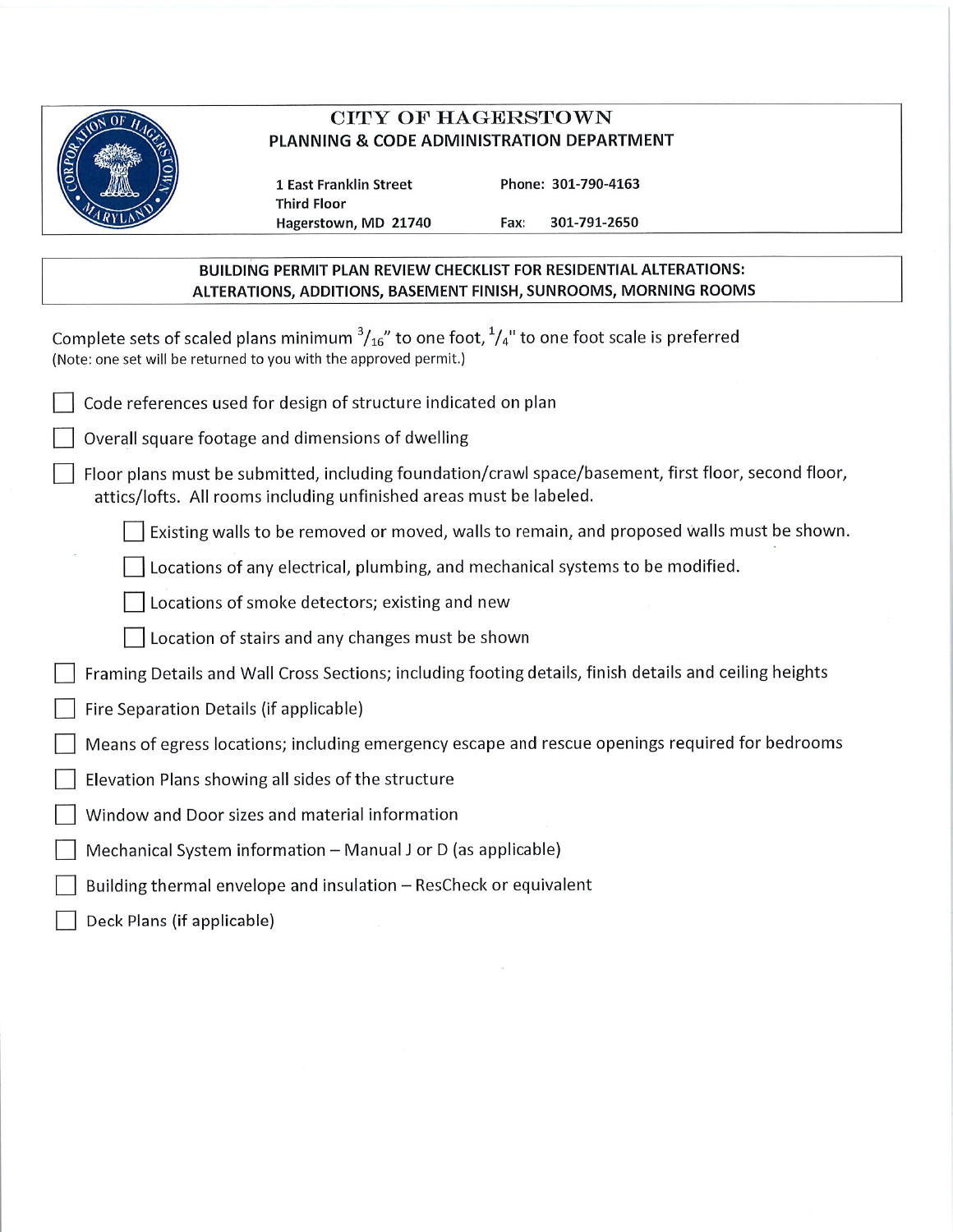

## **CITY OF HAGERSTOWN** PLANNING & CODE ADMINISTRATION DEPARTMENT

**1 East Franklin Street Third Floor** Hagerstown, MD 21740 Phone: 301-790-4163 Fax: 301-791-2650

### BUILDING PERMIT PLAN REVIEW CHECKLIST FOR RESIDENTIAL ALTERATIONS: ALTERATIONS, ADDITIONS, BASEMENT FINISH, SUNROOMS, MORNING ROOMS

Complete sets of scaled plans minimum  $\frac{3}{16}$ " to one foot,  $\frac{1}{4}$ " to one foot scale is preferred (Note: one set will be returned to you with the approved permit.)

| Code references used for design of structure indicated on plan |  |
|----------------------------------------------------------------|--|
|----------------------------------------------------------------|--|

Overall square footage and dimensions of dwelling

Floor plans must be submitted, including foundation/crawl space/basement, first floor, second floor, attics/lofts. All rooms including unfinished areas must be labeled.

Existing walls to be removed or moved, walls to remain, and proposed walls must be shown.

Locations of any electrical, plumbing, and mechanical systems to be modified.

Locations of smoke detectors; existing and new

Location of stairs and any changes must be shown

Framing Details and Wall Cross Sections; including footing details, finish details and ceiling heights

- Fire Separation Details (if applicable)
- Means of egress locations; including emergency escape and rescue openings required for bedrooms
- Elevation Plans showing all sides of the structure
- Window and Door sizes and material information
- Mechanical System information Manual J or D (as applicable)
- Building thermal envelope and insulation ResCheck or equivalent
- Deck Plans (if applicable)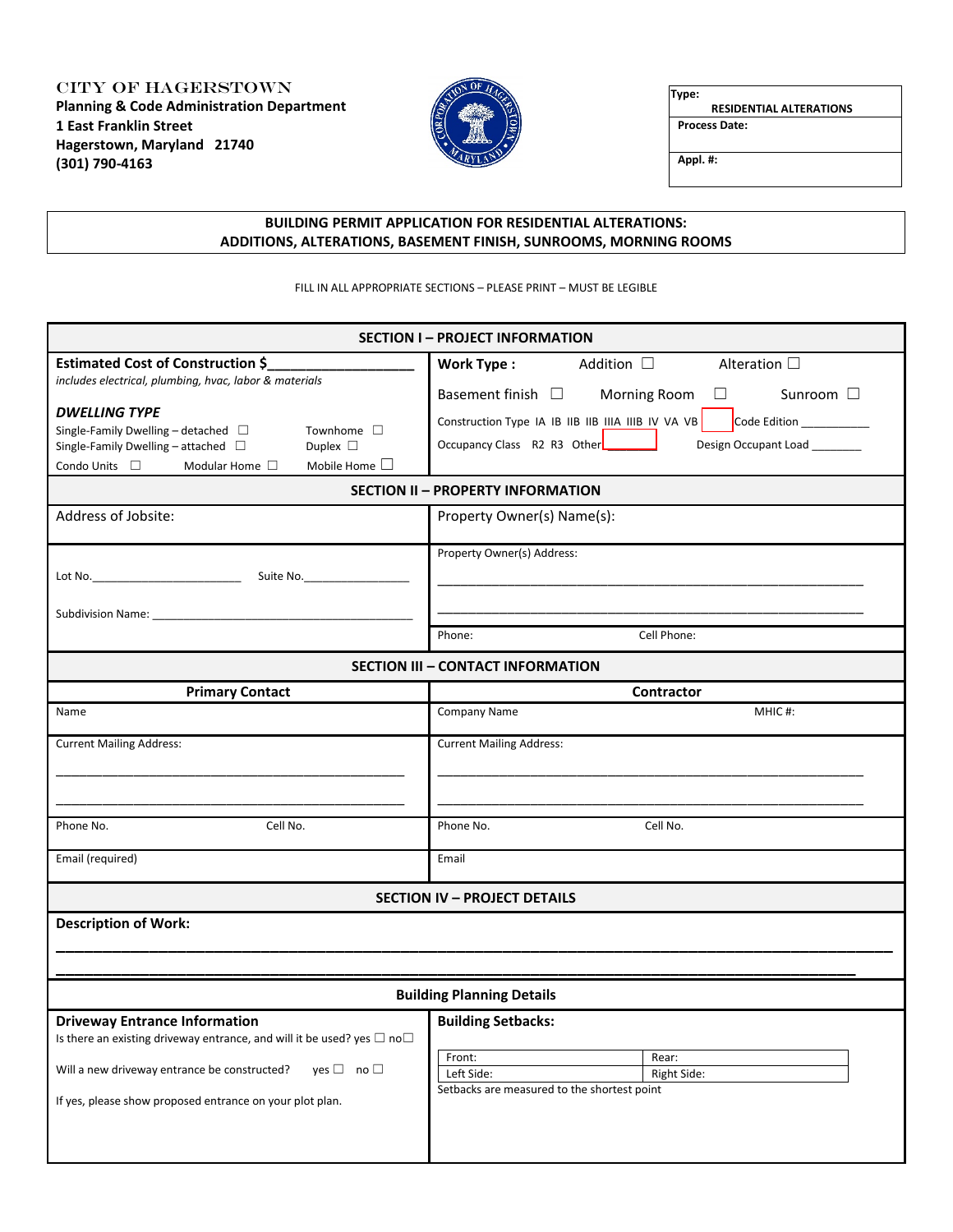CITY OF HAGERSTOWN **Planning & Code Administration Department 1 East Franklin Street Hagerstown, Maryland 21740 (301) 790-4163**



**Type: RESIDENTIAL ALTERATIONS**

**Process Date:**

**Appl. #:**

#### **BUILDING PERMIT APPLICATION FOR RESIDENTIAL ALTERATIONS: ADDITIONS, ALTERATIONS, BASEMENT FINISH, SUNROOMS, MORNING ROOMS**

FILL IN ALL APPROPRIATE SECTIONS – PLEASE PRINT – MUST BE LEGIBLE

| <b>SECTION I-PROJECT INFORMATION</b>                                                                                                                                                                                                                                                                                                                         |                                                                                                                                                                                                                                                                                                                                                              |  |  |  |  |  |  |
|--------------------------------------------------------------------------------------------------------------------------------------------------------------------------------------------------------------------------------------------------------------------------------------------------------------------------------------------------------------|--------------------------------------------------------------------------------------------------------------------------------------------------------------------------------------------------------------------------------------------------------------------------------------------------------------------------------------------------------------|--|--|--|--|--|--|
| <b>Estimated Cost of Construction \$</b><br>includes electrical, plumbing, hvac, labor & materials<br><b>DWELLING TYPE</b><br>Single-Family Dwelling - detached $\Box$<br>Townhome $\square$<br>Single-Family Dwelling - attached $\Box$<br>Duplex $\square$<br>Mobile Home $\square$<br>Condo Units $\square$<br>Modular Home $\Box$<br>Address of Jobsite: | <b>Work Type:</b><br>Addition $\Box$<br>Alteration $\square$<br>Basement finish $\square$<br>Morning Room<br>Sunroom $\Box$<br>⊔<br>Construction Type IA IB IIB IIB IIIA IIIB IV VA VB<br>Code Edition ____________<br>Occupancy Class R2 R3 Other<br>Design Occupant Load _______<br><b>SECTION II - PROPERTY INFORMATION</b><br>Property Owner(s) Name(s): |  |  |  |  |  |  |
| Subdivision Name: 1999 and 2008 and 2009 and 2009 and 2009 and 2009 and 2009 and 2009 and 2009 and 2009 and 20                                                                                                                                                                                                                                               | Property Owner(s) Address:                                                                                                                                                                                                                                                                                                                                   |  |  |  |  |  |  |
|                                                                                                                                                                                                                                                                                                                                                              | Cell Phone:<br>Phone:                                                                                                                                                                                                                                                                                                                                        |  |  |  |  |  |  |
| <b>SECTION III - CONTACT INFORMATION</b>                                                                                                                                                                                                                                                                                                                     |                                                                                                                                                                                                                                                                                                                                                              |  |  |  |  |  |  |
| <b>Primary Contact</b><br>Name                                                                                                                                                                                                                                                                                                                               | Contractor<br>Company Name<br>MHIC#:                                                                                                                                                                                                                                                                                                                         |  |  |  |  |  |  |
|                                                                                                                                                                                                                                                                                                                                                              |                                                                                                                                                                                                                                                                                                                                                              |  |  |  |  |  |  |
| <b>Current Mailing Address:</b><br>Cell No.<br>Phone No.                                                                                                                                                                                                                                                                                                     | <b>Current Mailing Address:</b><br>Phone No.<br>Cell No.                                                                                                                                                                                                                                                                                                     |  |  |  |  |  |  |
| Email (required)                                                                                                                                                                                                                                                                                                                                             | Email                                                                                                                                                                                                                                                                                                                                                        |  |  |  |  |  |  |
|                                                                                                                                                                                                                                                                                                                                                              | <b>SECTION IV - PROJECT DETAILS</b>                                                                                                                                                                                                                                                                                                                          |  |  |  |  |  |  |
| <b>Description of Work:</b>                                                                                                                                                                                                                                                                                                                                  |                                                                                                                                                                                                                                                                                                                                                              |  |  |  |  |  |  |
|                                                                                                                                                                                                                                                                                                                                                              | <b>Building Planning Details</b>                                                                                                                                                                                                                                                                                                                             |  |  |  |  |  |  |
| <b>Driveway Entrance Information</b><br>Is there an existing driveway entrance, and will it be used? yes $\Box$ no $\Box$                                                                                                                                                                                                                                    | <b>Building Setbacks:</b>                                                                                                                                                                                                                                                                                                                                    |  |  |  |  |  |  |
| Will a new driveway entrance be constructed?<br>$ves \Box no \Box$                                                                                                                                                                                                                                                                                           | Front:<br>Rear:<br>Left Side:<br>Right Side:                                                                                                                                                                                                                                                                                                                 |  |  |  |  |  |  |
| If yes, please show proposed entrance on your plot plan.                                                                                                                                                                                                                                                                                                     | Setbacks are measured to the shortest point                                                                                                                                                                                                                                                                                                                  |  |  |  |  |  |  |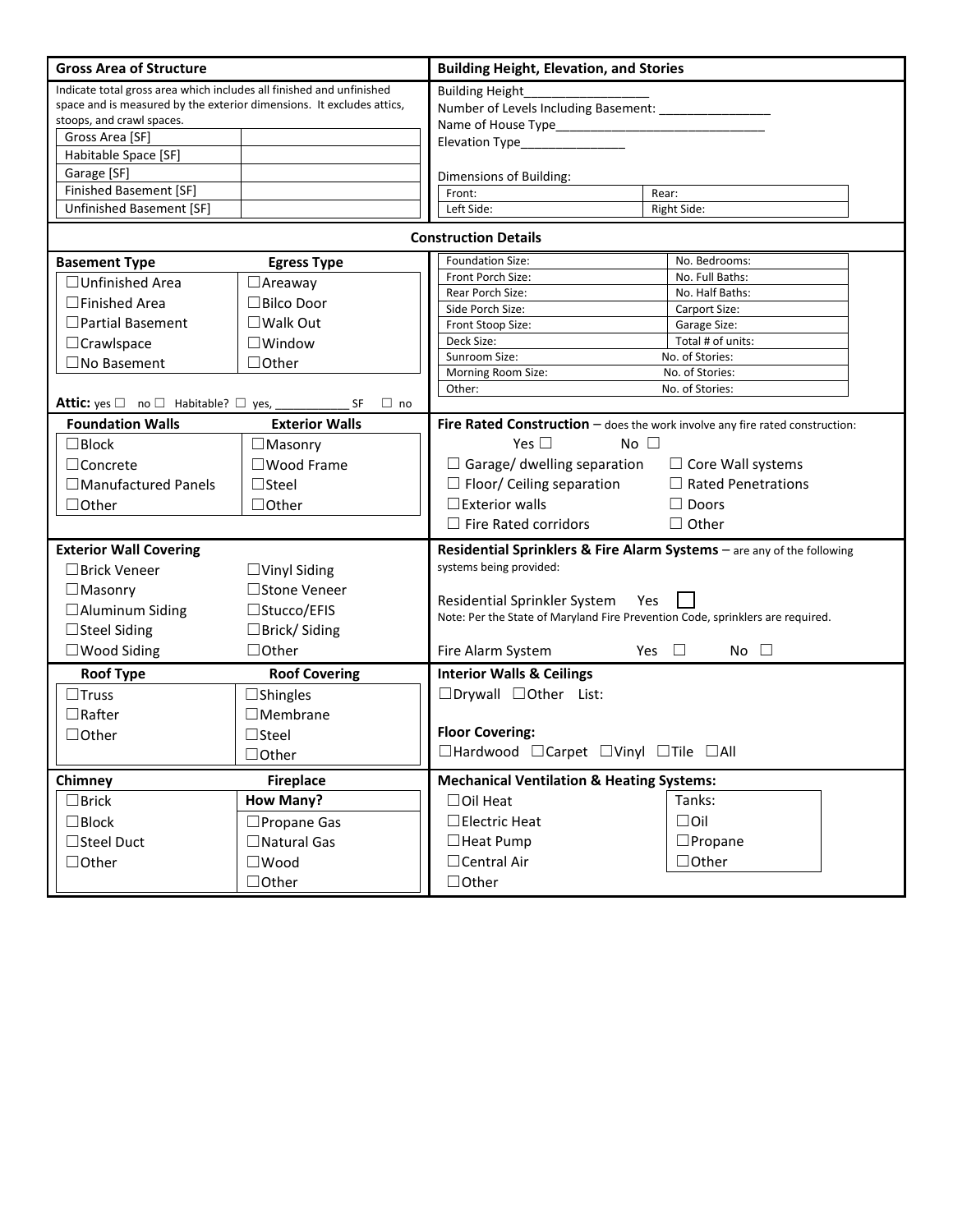| <b>Gross Area of Structure</b>                                                                                                                                                                |                       | <b>Building Height, Elevation, and Stories</b>                                                                        |                                                                        |  |  |  |  |  |
|-----------------------------------------------------------------------------------------------------------------------------------------------------------------------------------------------|-----------------------|-----------------------------------------------------------------------------------------------------------------------|------------------------------------------------------------------------|--|--|--|--|--|
| Indicate total gross area which includes all finished and unfinished<br>space and is measured by the exterior dimensions. It excludes attics,<br>stoops, and crawl spaces.<br>Gross Area [SF] |                       | <b>Building Height</b><br>Number of Levels Including Basement: _________________<br>Elevation Type_______________     |                                                                        |  |  |  |  |  |
| Habitable Space [SF]                                                                                                                                                                          |                       |                                                                                                                       |                                                                        |  |  |  |  |  |
| Garage [SF]                                                                                                                                                                                   |                       | Dimensions of Building:                                                                                               |                                                                        |  |  |  |  |  |
| <b>Finished Basement [SF]</b>                                                                                                                                                                 |                       | Front:                                                                                                                | Rear:                                                                  |  |  |  |  |  |
| Unfinished Basement [SF]                                                                                                                                                                      |                       | Left Side:                                                                                                            | Right Side:                                                            |  |  |  |  |  |
| <b>Construction Details</b>                                                                                                                                                                   |                       |                                                                                                                       |                                                                        |  |  |  |  |  |
| <b>Basement Type</b>                                                                                                                                                                          | <b>Egress Type</b>    | Foundation Size:                                                                                                      | No. Bedrooms:                                                          |  |  |  |  |  |
| $\Box$ Unfinished Area                                                                                                                                                                        | $\Box$ Areaway        | Front Porch Size:                                                                                                     | No. Full Baths:                                                        |  |  |  |  |  |
| $\Box$ Finished Area                                                                                                                                                                          | $\Box$ Bilco Door     | Rear Porch Size:<br>Side Porch Size:                                                                                  | No. Half Baths:                                                        |  |  |  |  |  |
| $\Box$ Partial Basement                                                                                                                                                                       | $\square$ Walk Out    | Front Stoop Size:                                                                                                     | Carport Size:<br>Garage Size:                                          |  |  |  |  |  |
| $\Box$ Crawlspace                                                                                                                                                                             | $\square$ Window      | Deck Size:                                                                                                            | Total # of units:                                                      |  |  |  |  |  |
| $\square$ No Basement                                                                                                                                                                         | $\Box$ Other          | Sunroom Size:                                                                                                         | No. of Stories:                                                        |  |  |  |  |  |
|                                                                                                                                                                                               |                       | Morning Room Size:<br>No. of Stories:                                                                                 |                                                                        |  |  |  |  |  |
|                                                                                                                                                                                               |                       | No. of Stories:<br>Other:                                                                                             |                                                                        |  |  |  |  |  |
| Attic: yes □ no □ Habitable? □ yes, ___________                                                                                                                                               | $\Box$ no<br>SF       |                                                                                                                       |                                                                        |  |  |  |  |  |
| <b>Foundation Walls</b>                                                                                                                                                                       | <b>Exterior Walls</b> | Fire Rated Construction $-$ does the work involve any fire rated construction:                                        |                                                                        |  |  |  |  |  |
| $\Box$ Block                                                                                                                                                                                  | $\Box$ Masonry        | Yes $\square$<br>No $\square$                                                                                         |                                                                        |  |  |  |  |  |
| $\Box$ Concrete                                                                                                                                                                               | $\square$ Wood Frame  | $\Box$ Garage/ dwelling separation $\Box$ Core Wall systems                                                           |                                                                        |  |  |  |  |  |
| □ Manufactured Panels                                                                                                                                                                         | $\Box$ Steel          | $\Box$ Floor/ Ceiling separation                                                                                      | $\Box$ Rated Penetrations                                              |  |  |  |  |  |
| $\Box$ Other                                                                                                                                                                                  | $\Box$ Other          | $\square$ Exterior walls                                                                                              | $\Box$ Doors                                                           |  |  |  |  |  |
|                                                                                                                                                                                               |                       | $\Box$ Fire Rated corridors                                                                                           | $\Box$ Other                                                           |  |  |  |  |  |
| <b>Exterior Wall Covering</b>                                                                                                                                                                 |                       |                                                                                                                       | Residential Sprinklers & Fire Alarm Systems - are any of the following |  |  |  |  |  |
| $\Box$ Brick Veneer                                                                                                                                                                           | $\Box$ Vinyl Siding   | systems being provided:                                                                                               |                                                                        |  |  |  |  |  |
| $\Box$ Masonry                                                                                                                                                                                | □Stone Veneer         |                                                                                                                       |                                                                        |  |  |  |  |  |
| □ Aluminum Siding                                                                                                                                                                             | □Stucco/EFIS          | Residential Sprinkler System<br>Yes<br>Note: Per the State of Maryland Fire Prevention Code, sprinklers are required. |                                                                        |  |  |  |  |  |
| $\Box$ Steel Siding                                                                                                                                                                           | $\Box$ Brick/Siding   |                                                                                                                       |                                                                        |  |  |  |  |  |
|                                                                                                                                                                                               | $\Box$ Other          |                                                                                                                       | Yes $\Box$<br>No $\square$                                             |  |  |  |  |  |
| $\square$ Wood Siding                                                                                                                                                                         |                       | Fire Alarm System<br><b>Interior Walls &amp; Ceilings</b>                                                             |                                                                        |  |  |  |  |  |
| <b>Roof Type</b>                                                                                                                                                                              | <b>Roof Covering</b>  |                                                                                                                       |                                                                        |  |  |  |  |  |
| $\square$ Truss                                                                                                                                                                               | $\Box$ Shingles       | $\Box$ Drywall $\Box$ Other List:                                                                                     |                                                                        |  |  |  |  |  |
| $\Box$ Rafter                                                                                                                                                                                 | $\Box$ Membrane       |                                                                                                                       |                                                                        |  |  |  |  |  |
| $\Box$ Other                                                                                                                                                                                  | $\Box$ Steel          | <b>Floor Covering:</b>                                                                                                |                                                                        |  |  |  |  |  |
|                                                                                                                                                                                               | $\Box$ Other          | □Hardwood □Carpet □Vinyl □Tile □All                                                                                   |                                                                        |  |  |  |  |  |
| <b>Fireplace</b><br>Chimney                                                                                                                                                                   |                       | <b>Mechanical Ventilation &amp; Heating Systems:</b>                                                                  |                                                                        |  |  |  |  |  |
| $\Box$ Brick                                                                                                                                                                                  | <b>How Many?</b>      | $\Box$ Oil Heat                                                                                                       | Tanks:                                                                 |  |  |  |  |  |
| $\square$ Block                                                                                                                                                                               | □ Propane Gas         | $\Box$ Electric Heat                                                                                                  | $\Box$ Oil                                                             |  |  |  |  |  |
| □Steel Duct                                                                                                                                                                                   | □ Natural Gas         | $\Box$ Heat Pump                                                                                                      | $\square$ Propane                                                      |  |  |  |  |  |
| $\Box$ Other                                                                                                                                                                                  | $\square$ Wood        | $\Box$ Central Air                                                                                                    | $\Box$ Other                                                           |  |  |  |  |  |
|                                                                                                                                                                                               | $\Box$ Other          | $\Box$ Other                                                                                                          |                                                                        |  |  |  |  |  |
|                                                                                                                                                                                               |                       |                                                                                                                       |                                                                        |  |  |  |  |  |